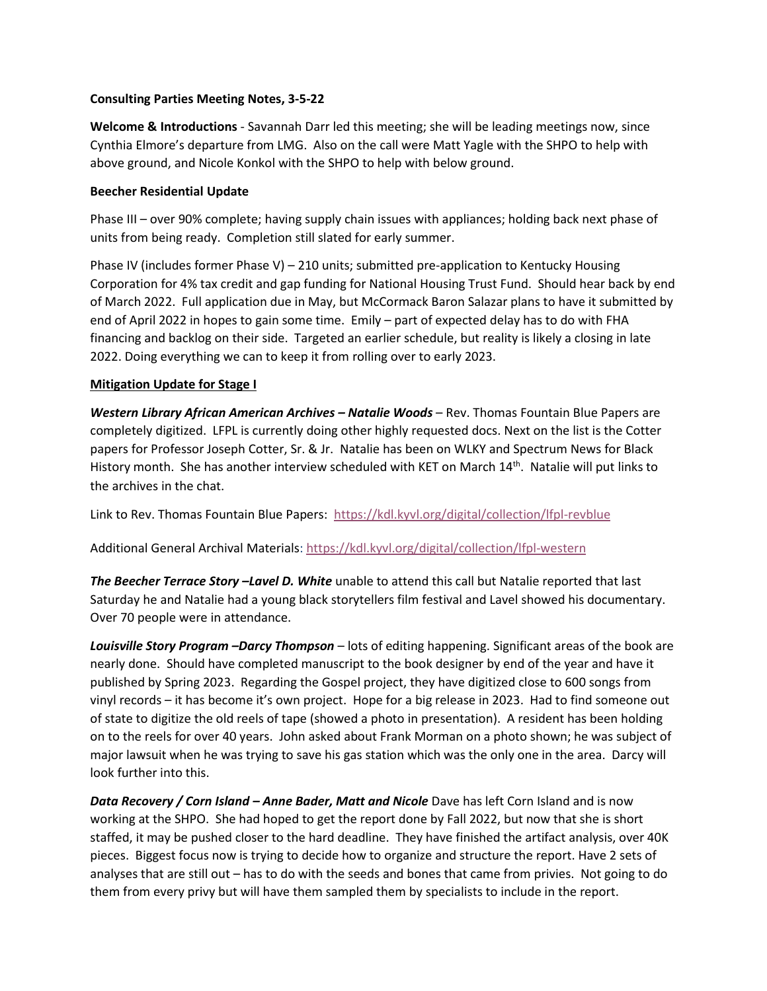## **Consulting Parties Meeting Notes, 3-5-22**

**Welcome & Introductions** - Savannah Darr led this meeting; she will be leading meetings now, since Cynthia Elmore's departure from LMG. Also on the call were Matt Yagle with the SHPO to help with above ground, and Nicole Konkol with the SHPO to help with below ground.

## **Beecher Residential Update**

Phase III – over 90% complete; having supply chain issues with appliances; holding back next phase of units from being ready. Completion still slated for early summer.

Phase IV (includes former Phase V) – 210 units; submitted pre-application to Kentucky Housing Corporation for 4% tax credit and gap funding for National Housing Trust Fund. Should hear back by end of March 2022. Full application due in May, but McCormack Baron Salazar plans to have it submitted by end of April 2022 in hopes to gain some time. Emily – part of expected delay has to do with FHA financing and backlog on their side. Targeted an earlier schedule, but reality is likely a closing in late 2022. Doing everything we can to keep it from rolling over to early 2023.

## **Mitigation Update for Stage I**

*Western Library African American Archives – Natalie Woods* – Rev. Thomas Fountain Blue Papers are completely digitized. LFPL is currently doing other highly requested docs. Next on the list is the Cotter papers for Professor Joseph Cotter, Sr. & Jr. Natalie has been on WLKY and Spectrum News for Black History month. She has another interview scheduled with KET on March 14<sup>th</sup>. Natalie will put links to the archives in the chat.

Link to Rev. Thomas Fountain Blue Papers:<https://kdl.kyvl.org/digital/collection/lfpl-revblue>

Additional General Archival Materials: <https://kdl.kyvl.org/digital/collection/lfpl-western>

*The Beecher Terrace Story –Lavel D. White* unable to attend this call but Natalie reported that last Saturday he and Natalie had a young black storytellers film festival and Lavel showed his documentary. Over 70 people were in attendance.

*Louisville Story Program –Darcy Thompson* – lots of editing happening. Significant areas of the book are nearly done. Should have completed manuscript to the book designer by end of the year and have it published by Spring 2023. Regarding the Gospel project, they have digitized close to 600 songs from vinyl records – it has become it's own project. Hope for a big release in 2023. Had to find someone out of state to digitize the old reels of tape (showed a photo in presentation). A resident has been holding on to the reels for over 40 years. John asked about Frank Morman on a photo shown; he was subject of major lawsuit when he was trying to save his gas station which was the only one in the area. Darcy will look further into this.

*Data Recovery / Corn Island – Anne Bader, Matt and Nicole* Dave has left Corn Island and is now working at the SHPO. She had hoped to get the report done by Fall 2022, but now that she is short staffed, it may be pushed closer to the hard deadline. They have finished the artifact analysis, over 40K pieces. Biggest focus now is trying to decide how to organize and structure the report. Have 2 sets of analyses that are still out – has to do with the seeds and bones that came from privies. Not going to do them from every privy but will have them sampled them by specialists to include in the report.